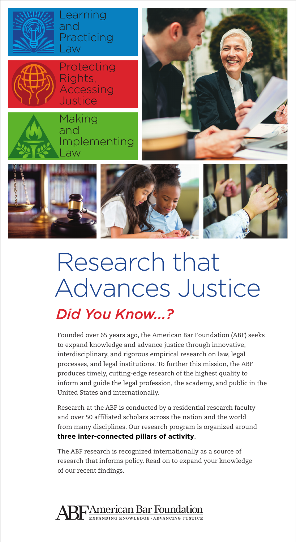



Protecting Rights, Accessing Justice

Learning

Practicing

and

Law







# Research that Advances Justice

### *Did You Know...?*

Founded over 65 years ago, the American Bar Foundation (ABF) seeks to expand knowledge and advance justice through innovative, interdisciplinary, and rigorous empirical research on law, legal processes, and legal institutions. To further this mission, the ABF produces timely, cutting-edge research of the highest quality to inform and guide the legal profession, the academy, and public in the United States and internationally.

Research at the ABF is conducted by a residential research faculty and over 50 affiliated scholars across the nation and the world from many disciplines. Our research program is organized around **three inter-connected pillars of activity**.

The ABF research is recognized internationally as a source of research that informs policy. Read on to expand your knowledge of our recent findings.

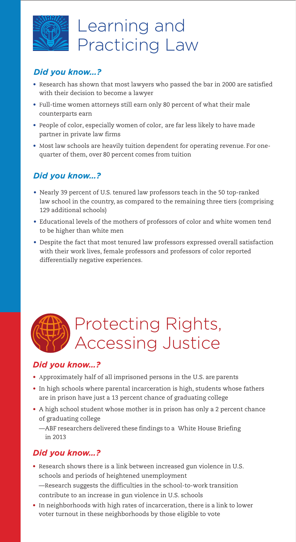

### Learning and Practicing Law

#### *Did you know…?*

- Research has shown that most lawyers who passed the bar in 2000 are satisfied with their decision to become a lawyer
- F[ull-time women attorneys still earn only 80 percent of what their male](http://www.nalpfoundation.org/bookstore#41) counterparts earn
- P[eople of color, especially women of color, are far less likely to have made](http://www.americanbarfoundation.org/uploads/cms/documents/ajd3report_final_for_distribution.pdf) partner in private law firms
- Most law schools are heavily tuition dependent for operating revenue. For onequarter of them, over 80 percent comes from tuition

#### *Did you know…?*

- Nearly 39 percent of U.S. tenured law professors teach in the 50 top-ranked [law school in the country, as compared to the remaining three tiers \(comprising](http://www.americanbarfoundation.org/uploads/cms/documents/after_tenure_report-_final-_abf_4.1.pdf) 129 additional schools)
- Educational levels of the mothers of professors of color and white women tend to be higher than white men
- [Despite the fact that most tenured law professors expressed overall satisfaction](https://onlinelibrary.wiley.com/doi/full/10.1111/lsi.12350) with their work lives, female professors and professors of color reported differentially negative experiences.

## Protecting Rights, Accessing Justice

#### *Did you know…?*

- A[pproximately half of all imprisoned persons in the U.S. are parents](http://www.americanbarfoundation.org/uploads/cms/documents/abf_research_brief_incarceration_v5_electronic_version.pdf)
- In high schools where parental incarceration is high, students whose fathers are in prison have just a 13 percent chance of graduating college
- [A high school student whose mother is in prison has only a 2 percent chance](https://journals.sagepub.com/doi/pdf/10.1177/0038040711431587) of graduating college
	- [—ABF researchers delivered these findings to a](http://www.americanbarfoundation.org/fellows/news/432) White House Briefing in 2013

#### *Did you know…?*

- R[esearch shows there is a link between increased gun violence in U.S.](http://www.americanbarfoundation.org/news/773) schools and periods of heightened unemployment —Research suggests the difficulties in the school-to-work transition contribute to an increase in gun violence in U.S. schools
- I[n neighborhoods with high rates of incarceration, there is a link to lower](http://www.americanbarfoundation.org/news/467) voter turnout in these neighborhoods by those eligible to vote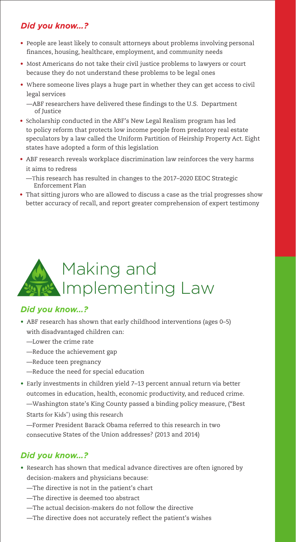### *Did you know…?*

- People are least likely to consult attorneys about problems involving personal finances, housing, healthcare, employment, and community needs
- M[ost Americans do not take their civil justice problems to lawyers or court](http://www.americanbarfoundation.org/uploads/cms/documents/sandefur_-_civil_legal_needs_and_public_legal_understanding_handout.pdf) because they do not understand these problems to be legal ones
- W[here someone lives plays a huge part in whether they can get access to](http://www.americanbarfoundation.org/uploads/cms/documents/sandefur_accessing_justice_in_the_contemporary_usa._aug._2014.pdf) civil legal services

—ABF researchers have delivered these findings to the U.S. Department of Justice

- Scholarship conducted in the ABF's New Legal Realism program has led [to policy reform that protects low income people from predatory real estate](http://uniformlaws.org/actsummary.aspx?title=Partition%20of%20Heirs%20Property%20Act) speculators by a law called the Uniform Partition of Heirship Property Act. Eight states have adopted a form of this legislation
- [ABF research reveals workplace discrimination law reinforces the very harms](https://www.press.uchicago.edu/ucp/books/book/chicago/R/bo26176123.html) it aims to redress
	- —T[his research has resulted in changes to the 2017–2020 EEOC Strategic](https://www.eeoc.gov/eeoc/plan/sep-2017.cfm) Enforcement Plan
- [That sitting jurors who are allowed to discuss a case as the trial progresses show](https://scholarship.law.duke.edu/cgi/viewcontent.cgi?referer=&httpsredir=1&article=1851&context=faculty_scholarship) better accuracy of recall, and report greater comprehension of expert testimony



#### *Did you know…?*

- [ABF research has shown that early childhood interventions \(ages 0–5\)](http://www.americanbarfoundation.org/faculty/profile/11) with disadvantaged children can:
	- —Lower the crime rate
	- —Reduce the achievement gap
	- —Reduce teen pregnancy
	- —Reduce the need for special education
- Early investments in children yield 7–13 percent annual return via better [outcomes in education, health, economic productivity, and reduced crime.](https://heckmanequation.org/) [—Washington state's King County passed a binding policy measure, \("Best](https://kingcounty.gov/elected/executive/constantine/news/release/2015/November/04-best-starts-for-kids.aspx) Starts for Kids") using this research

—Former President Barack Obama referred to this research in two consecutive States of the Union addresses? (2013 and 2014)

#### *Did you know…?*

- R[esearch has shown that medical advance directives are often ignored by](http://www.americanbarfoundation.org/uploads/cms/documents/journal_of_health_politics_policy_and_law-2015-shapiro-487-530.pdf) decision-makers and physicians because:
	- —The directive is not in the patient's chart
	- —The directive is deemed too abstract
	- —The actual decision-makers do not follow the directive
	- —The directive does not accurately reflect the patient's wishes